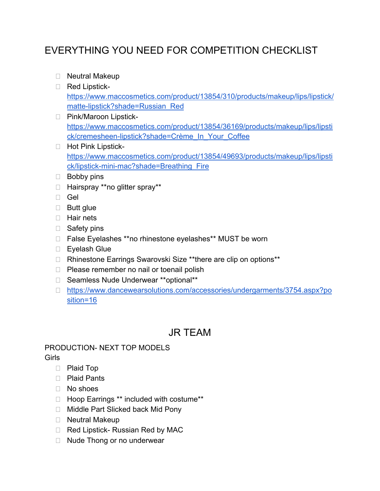# EVERYTHING YOU NEED FOR COMPETITION CHECKLIST

- □ Neutral Makeup
- Red Lipstick[https://www.maccosmetics.com/product/13854/310/products/makeup/lips/lipstick/](https://www.maccosmetics.com/product/13854/310/products/makeup/lips/lipstick/matte-lipstick?shade=Russian_Red) [matte-lipstick?shade=Russian\\_Red](https://www.maccosmetics.com/product/13854/310/products/makeup/lips/lipstick/matte-lipstick?shade=Russian_Red)
- □ Pink/Maroon Lipstick[https://www.maccosmetics.com/product/13854/36169/products/makeup/lips/lipsti](https://www.maccosmetics.com/product/13854/36169/products/makeup/lips/lipstick/cremesheen-lipstick?shade=Cr%C3%A8me_In_Your_Coffee) [ck/cremesheen-lipstick?shade=Crème\\_In\\_Your\\_Coffee](https://www.maccosmetics.com/product/13854/36169/products/makeup/lips/lipstick/cremesheen-lipstick?shade=Cr%C3%A8me_In_Your_Coffee)
- □ Hot Pink Lipstick[https://www.maccosmetics.com/product/13854/49693/products/makeup/lips/lipsti](https://www.maccosmetics.com/product/13854/49693/products/makeup/lips/lipstick/lipstick-mini-mac?shade=Breathing_Fire) [ck/lipstick-mini-mac?shade=Breathing\\_Fire](https://www.maccosmetics.com/product/13854/49693/products/makeup/lips/lipstick/lipstick-mini-mac?shade=Breathing_Fire)
- **Bobby pins**
- □ Hairspray \*\*no glitter spray\*\*
- Gel
- □ Butt glue
- **Hair nets**
- □ Safety pins
- □ False Eyelashes \*\*no rhinestone eyelashes\*\* MUST be worn
- □ Eyelash Glue
- □ Rhinestone Earrings Swarovski Size \*\*there are clip on options\*\*
- $\Box$  Please remember no nail or toenail polish
- □ Seamless Nude Underwear \*\*optional\*\*
- [https://www.dancewearsolutions.com/accessories/undergarments/3754.aspx?po](https://www.dancewearsolutions.com/accessories/undergarments/3754.aspx?position=16) [sition=16](https://www.dancewearsolutions.com/accessories/undergarments/3754.aspx?position=16)

## JR TEAM

#### PRODUCTION- NEXT TOP MODELS Girls

- Plaid Top
- □ Plaid Pants
- No shoes
- □ Hoop Earrings \*\* included with costume\*\*
- □ Middle Part Slicked back Mid Pony
- □ Neutral Makeup
- $\Box$  Red Lipstick- Russian Red by MAC
- $\Box$  Nude Thong or no underwear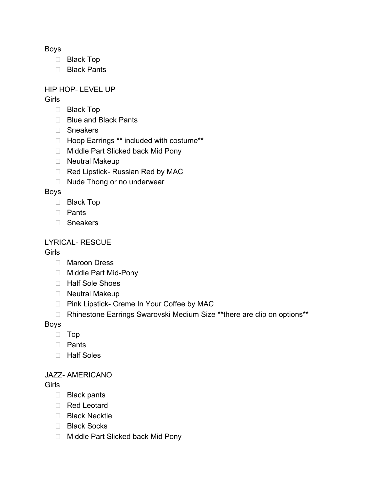Boys

- □ Black Top
- □ Black Pants

## HIP HOP- LEVEL UP

**Girls** 

- □ Black Top
- □ Blue and Black Pants
- □ Sneakers
- □ Hoop Earrings \*\* included with costume\*\*
- □ Middle Part Slicked back Mid Pony
- □ Neutral Makeup
- □ Red Lipstick- Russian Red by MAC
- □ Nude Thong or no underwear

## Boys

- □ Black Top
- Pants
- Sneakers

## LYRICAL- RESCUE

## Girls

- □ Maroon Dress
- □ Middle Part Mid-Pony
- □ Half Sole Shoes
- □ Neutral Makeup
- □ Pink Lipstick- Creme In Your Coffee by MAC
- □ Rhinestone Earrings Swarovski Medium Size \*\*there are clip on options\*\*

Boys

- Top
- n Pants
- □ Half Soles

## JAZZ- AMERICANO

## Girls

- □ Black pants
- Red Leotard
- □ Black Necktie
- □ Black Socks
- □ Middle Part Slicked back Mid Pony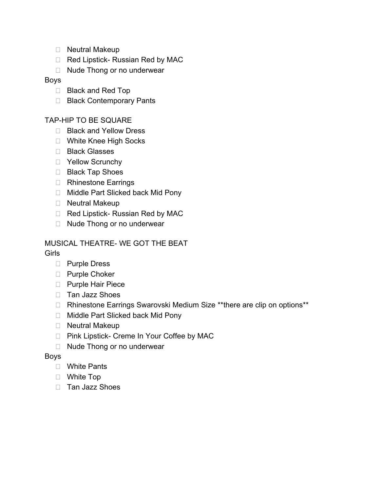- □ Neutral Makeup
- Red Lipstick- Russian Red by MAC
- □ Nude Thong or no underwear

#### Boys

- □ Black and Red Top
- □ Black Contemporary Pants

## TAP-HIP TO BE SQUARE

- □ Black and Yellow Dress
- □ White Knee High Socks
- □ Black Glasses
- □ Yellow Scrunchy
- □ Black Tap Shoes
- □ Rhinestone Earrings
- □ Middle Part Slicked back Mid Pony
- □ Neutral Makeup
- □ Red Lipstick- Russian Red by MAC
- □ Nude Thong or no underwear

#### MUSICAL THEATRE- WE GOT THE BEAT Girls

- D Purple Dress
- D Purple Choker
- □ Purple Hair Piece
- □ Tan Jazz Shoes
- □ Rhinestone Earrings Swarovski Medium Size \*\*there are clip on options\*\*
- □ Middle Part Slicked back Mid Pony
- □ Neutral Makeup
- □ Pink Lipstick- Creme In Your Coffee by MAC
- □ Nude Thong or no underwear

#### Boys

- White Pants
- White Top
- □ Tan Jazz Shoes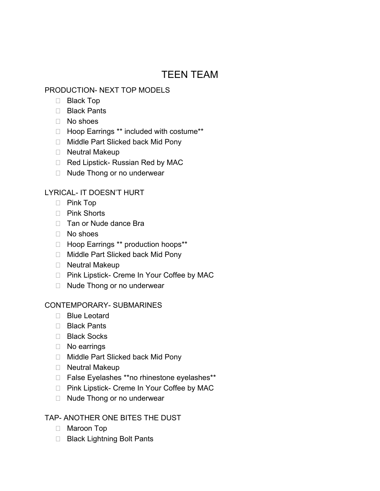# TEEN TEAM

## PRODUCTION- NEXT TOP MODELS

- □ Black Top
- □ Black Pants
- $\Box$  No shoes
- □ Hoop Earrings \*\* included with costume\*\*
- □ Middle Part Slicked back Mid Pony
- □ Neutral Makeup
- □ Red Lipstick- Russian Red by MAC
- □ Nude Thong or no underwear

## LYRICAL- IT DOESN'T HURT

- Pink Top
- □ Pink Shorts
- $\Box$  Tan or Nude dance Bra
- No shoes
- □ Hoop Earrings \*\* production hoops\*\*
- □ Middle Part Slicked back Mid Pony
- □ Neutral Makeup
- □ Pink Lipstick- Creme In Your Coffee by MAC
- □ Nude Thong or no underwear

## CONTEMPORARY- SUBMARINES

- □ Blue Leotard
- Black Pants
- □ Black Socks
- □ No earrings
- □ Middle Part Slicked back Mid Pony
- □ Neutral Makeup
- □ False Eyelashes \*\*no rhinestone eyelashes\*\*
- □ Pink Lipstick- Creme In Your Coffee by MAC
- □ Nude Thong or no underwear

## TAP- ANOTHER ONE BITES THE DUST

- □ Maroon Top
- □ Black Lightning Bolt Pants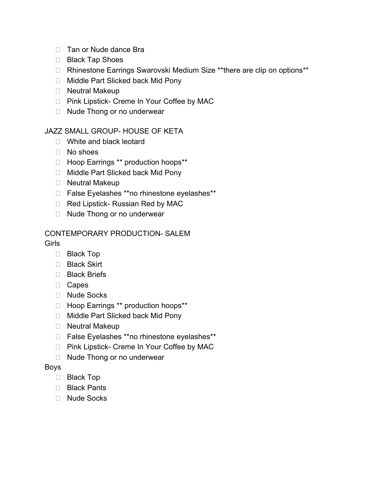- □ Tan or Nude dance Bra
- □ Black Tap Shoes
- □ Rhinestone Earrings Swarovski Medium Size \*\*there are clip on options\*\*
- □ Middle Part Slicked back Mid Pony
- □ Neutral Makeup
- □ Pink Lipstick- Creme In Your Coffee by MAC
- □ Nude Thong or no underwear

## JAZZ SMALL GROUP- HOUSE OF KETA

- □ White and black leotard
- No shoes
- □ Hoop Earrings \*\* production hoops\*\*
- □ Middle Part Slicked back Mid Pony
- □ Neutral Makeup
- □ False Eyelashes \*\*no rhinestone eyelashes\*\*
- □ Red Lipstick- Russian Red by MAC
- □ Nude Thong or no underwear

#### CONTEMPORARY PRODUCTION- SALEM Girls

- - □ Black Top
	- □ Black Skirt
	- □ Black Briefs
	- Capes
	- □ Nude Socks
	- □ Hoop Earrings \*\* production hoops\*\*
	- □ Middle Part Slicked back Mid Pony
	- □ Neutral Makeup
	- □ False Eyelashes \*\*no rhinestone eyelashes\*\*
	- □ Pink Lipstick- Creme In Your Coffee by MAC
	- □ Nude Thong or no underwear

#### Boys

- □ Black Top
- □ Black Pants
- □ Nude Socks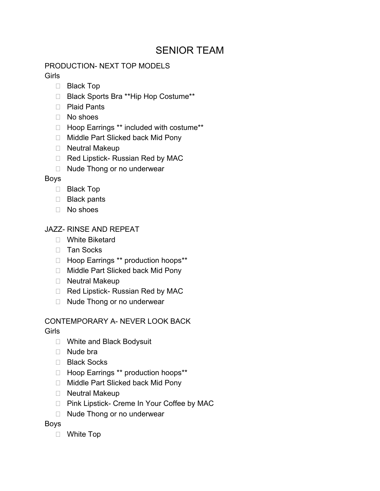## SENIOR TEAM

## PRODUCTION- NEXT TOP MODELS

Girls

- □ Black Top
- □ Black Sports Bra \*\*Hip Hop Costume\*\*
- D Plaid Pants
- No shoes
- Hoop Earrings \*\* included with costume\*\*
- □ Middle Part Slicked back Mid Pony
- □ Neutral Makeup
- □ Red Lipstick- Russian Red by MAC
- □ Nude Thong or no underwear

## Boys

- □ Black Top
- Black pants
- $\Box$  No shoes

## JAZZ- RINSE AND REPEAT

- White Biketard
- □ Tan Socks
- □ Hoop Earrings \*\* production hoops\*\*
- □ Middle Part Slicked back Mid Pony
- □ Neutral Makeup
- $\Box$  Red Lipstick- Russian Red by MAC
- □ Nude Thong or no underwear

## CONTEMPORARY A- NEVER LOOK BACK

Girls

- □ White and Black Bodysuit
- □ Nude bra
- □ Black Socks
- □ Hoop Earrings \*\* production hoops\*\*
- □ Middle Part Slicked back Mid Pony
- □ Neutral Makeup
- □ Pink Lipstick- Creme In Your Coffee by MAC
- □ Nude Thong or no underwear

## Boys

White Top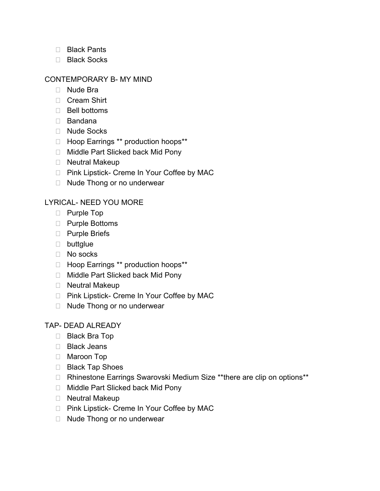- Black Pants
- Black Socks

## CONTEMPORARY B- MY MIND

- □ Nude Bra
- □ Cream Shirt
- $\Box$  Bell bottoms
- Bandana
- □ Nude Socks
- □ Hoop Earrings \*\* production hoops\*\*
- □ Middle Part Slicked back Mid Pony
- □ Neutral Makeup
- □ Pink Lipstick- Creme In Your Coffee by MAC
- □ Nude Thong or no underwear

## LYRICAL- NEED YOU MORE

- D Purple Top
- □ Purple Bottoms
- □ Purple Briefs
- **D** buttglue
- No socks
- □ Hoop Earrings \*\* production hoops\*\*
- □ Middle Part Slicked back Mid Pony
- □ Neutral Makeup
- □ Pink Lipstick- Creme In Your Coffee by MAC
- □ Nude Thong or no underwear

## TAP- DEAD ALREADY

- Black Bra Top
- □ Black Jeans
- □ Maroon Top
- □ Black Tap Shoes
- □ Rhinestone Earrings Swarovski Medium Size \*\*there are clip on options\*\*
- □ Middle Part Slicked back Mid Pony
- □ Neutral Makeup
- □ Pink Lipstick- Creme In Your Coffee by MAC
- □ Nude Thong or no underwear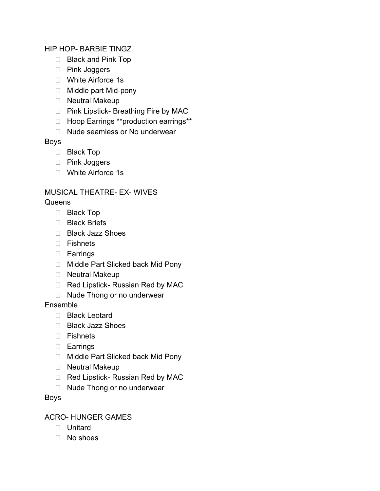## HIP HOP- BARBIE TINGZ

- □ Black and Pink Top
- □ Pink Joggers
- □ White Airforce 1s
- □ Middle part Mid-pony
- Neutral Makeup
- □ Pink Lipstick- Breathing Fire by MAC
- □ Hoop Earrings \*\*production earrings\*\*
- □ Nude seamless or No underwear

## Boys

- □ Black Top
- □ Pink Joggers
- □ White Airforce 1s

## MUSICAL THEATRE- EX- WIVES

## **Queens**

- □ Black Top
- □ Black Briefs
- □ Black Jazz Shoes
- $\Box$  Fishnets
- Earrings
- □ Middle Part Slicked back Mid Pony
- □ Neutral Makeup
- □ Red Lipstick- Russian Red by MAC
- □ Nude Thong or no underwear

## Ensemble

- Black Leotard
- □ Black Jazz Shoes
- Fishnets
- Earrings
- □ Middle Part Slicked back Mid Pony
- Neutral Makeup
- □ Red Lipstick- Russian Red by MAC
- □ Nude Thong or no underwear

Boys

## ACRO- HUNGER GAMES

- Unitard
- No shoes